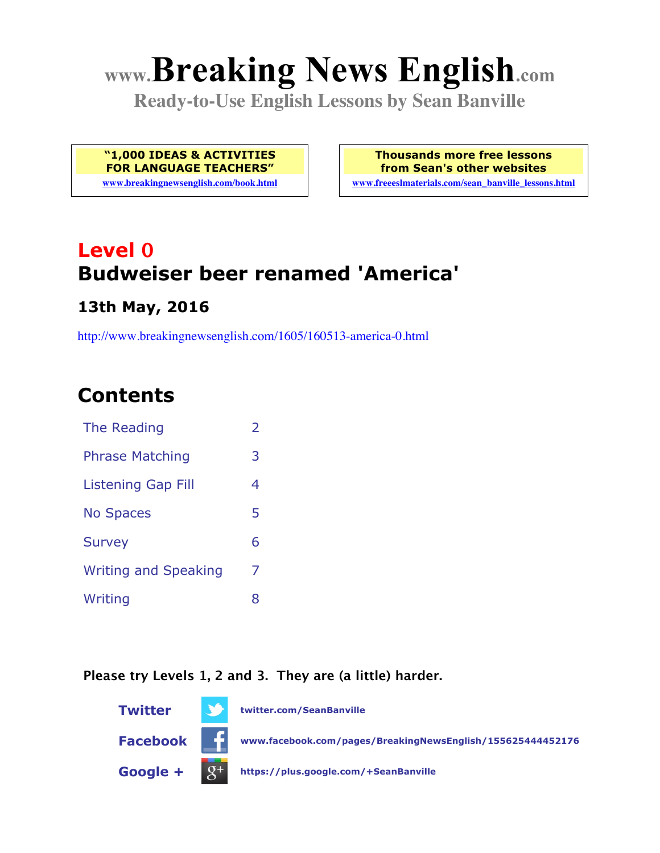# **www.Breaking News English.com**

**Ready-to-Use English Lessons by Sean Banville**

**"1,000 IDEAS & ACTIVITIES FOR LANGUAGE TEACHERS"**

**www.breakingnewsenglish.com/book.html**

**Thousands more free lessons from Sean's other websites**

**www.freeeslmaterials.com/sean\_banville\_lessons.html**

## **Level 0 Budweiser beer renamed 'America'**

### **13th May, 2016**

http://www.breakingnewsenglish.com/1605/160513-america-0.html

### **Contents**

| The Reading                 | 2 |
|-----------------------------|---|
| <b>Phrase Matching</b>      | 3 |
| <b>Listening Gap Fill</b>   | 4 |
| <b>No Spaces</b>            | 5 |
| <b>Survey</b>               | 6 |
| <b>Writing and Speaking</b> | 7 |
| Writing                     | 8 |

#### **Please try Levels 1, 2 and 3. They are (a little) harder.**

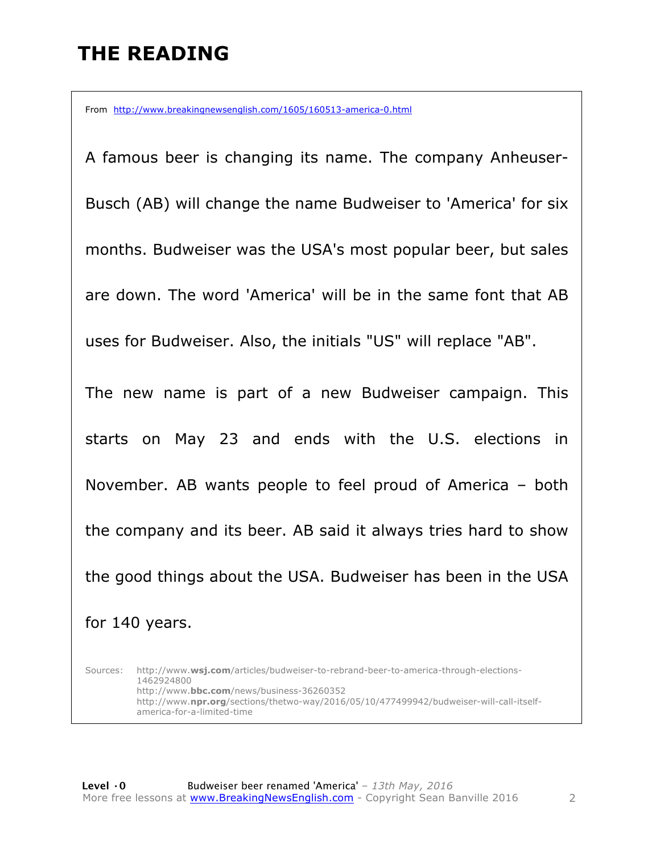### **THE READING**

From http://www.breakingnewsenglish.com/1605/160513-america-0.html

A famous beer is changing its name. The company Anheuser-Busch (AB) will change the name Budweiser to 'America' for six months. Budweiser was the USA's most popular beer, but sales are down. The word 'America' will be in the same font that AB uses for Budweiser. Also, the initials "US" will replace "AB". The new name is part of a new Budweiser campaign. This starts on May 23 and ends with the U.S. elections in November. AB wants people to feel proud of America – both the company and its beer. AB said it always tries hard to show the good things about the USA. Budweiser has been in the USA for 140 years.

Sources: http://www.**wsj.com**/articles/budweiser-to-rebrand-beer-to-america-through-elections-1462924800 http://www.**bbc.com**/news/business-36260352 http://www.**npr.org**/sections/thetwo-way/2016/05/10/477499942/budweiser-will-call-itselfamerica-for-a-limited-time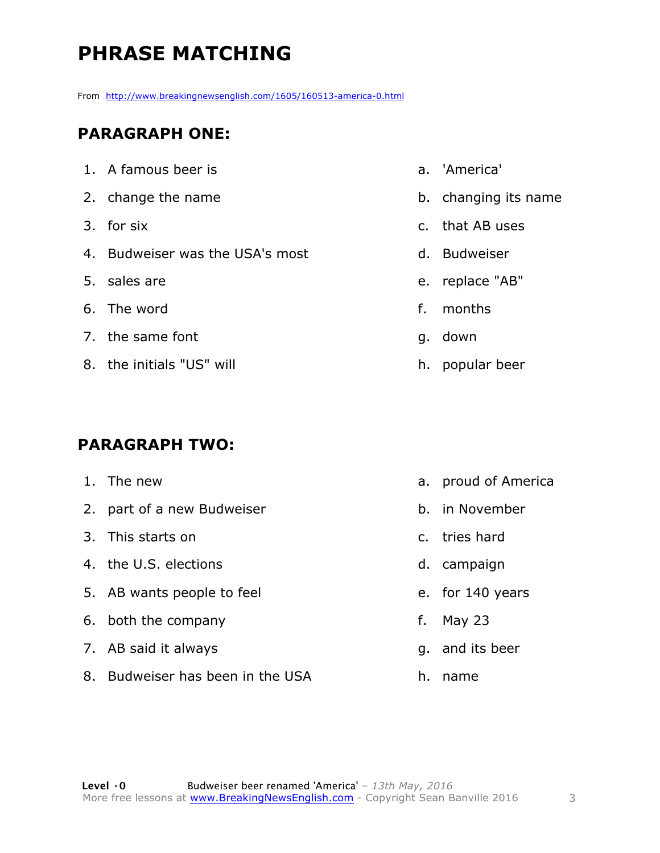### **PHRASE MATCHING**

From http://www.breakingnewsenglish.com/1605/160513-america-0.html

#### **PARAGRAPH ONE:**

| 1. A famous beer is             |    | a. 'America'         |
|---------------------------------|----|----------------------|
| 2. change the name              |    | b. changing its name |
| 3. for six                      |    | c. that AB uses      |
| 4. Budweiser was the USA's most |    | d. Budweiser         |
| 5. sales are                    |    | e. replace "AB"      |
| 6. The word                     | f. | months               |
| 7. the same font                |    | g. down              |
| 8. the initials "US" will       |    | h. popular beer      |
|                                 |    |                      |

#### **PARAGRAPH TWO:**

| 1. The new                       |    | a. proud of America |
|----------------------------------|----|---------------------|
| 2. part of a new Budweiser       |    | b. in November      |
| 3. This starts on                |    | c. tries hard       |
| 4. the U.S. elections            |    | d. campaign         |
| 5. AB wants people to feel       |    | e. for 140 years    |
| 6. both the company              | f. | May $23$            |
| 7. AB said it always             |    | q. and its beer     |
| 8. Budweiser has been in the USA | h. | name                |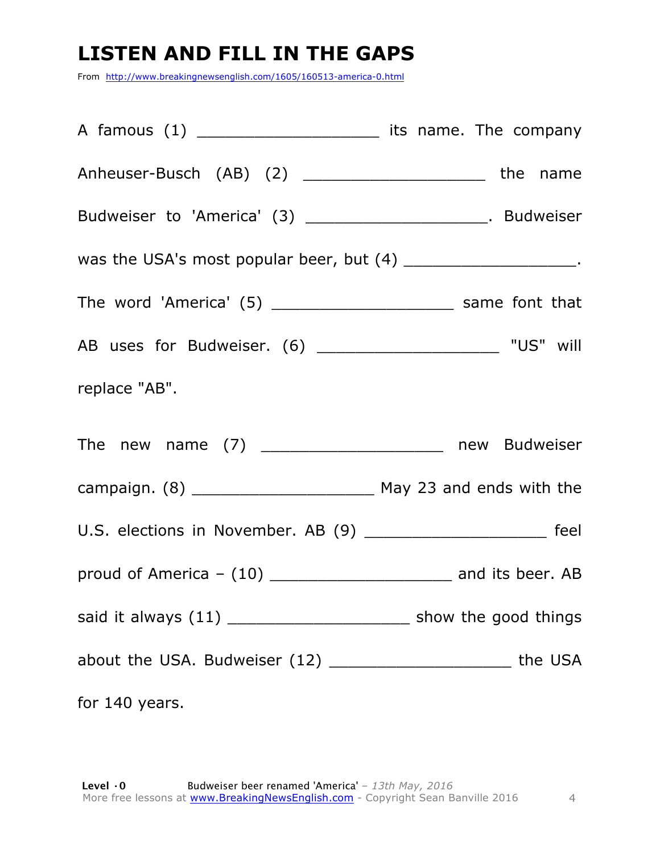### **LISTEN AND FILL IN THE GAPS**

From http://www.breakingnewsenglish.com/1605/160513-america-0.html

| A famous (1) ___________________________ its name. The company    |  |
|-------------------------------------------------------------------|--|
| Anheuser-Busch (AB) (2) ______________________________the name    |  |
| Budweiser to 'America' (3) _______________________. Budweiser     |  |
| was the USA's most popular beer, but (4) _______________________. |  |
|                                                                   |  |
|                                                                   |  |
| replace "AB".                                                     |  |
| The new name (7) ____________________ new Budweiser               |  |
|                                                                   |  |
| U.S. elections in November. AB (9) ______________________ feel    |  |
|                                                                   |  |
|                                                                   |  |
| about the USA. Budweiser (12) __________________________ the USA  |  |
| for 140 years.                                                    |  |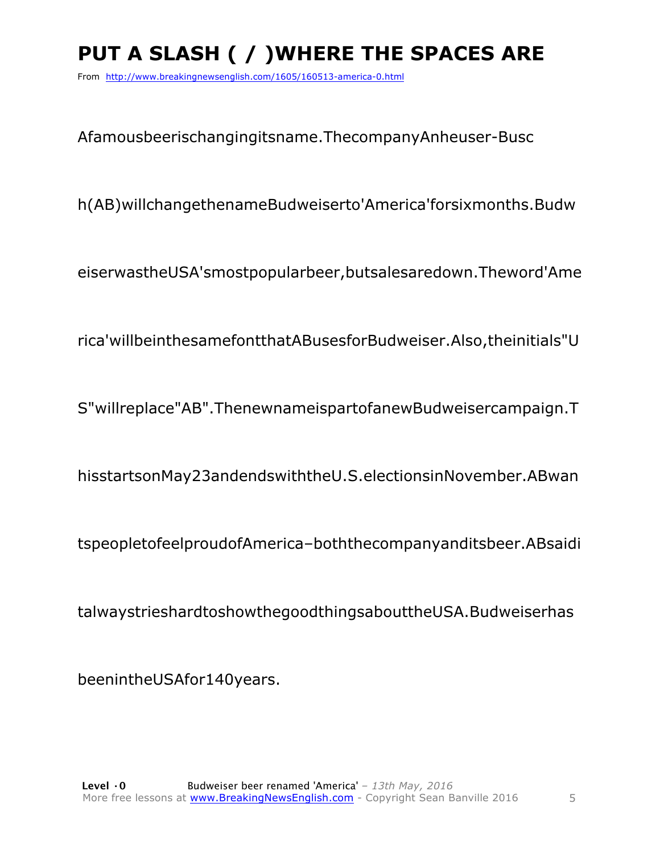## PUT A SLASH ( / ) WHERE THE SPACES ARE

From http://www.breakingnewsenglish.com/1605/160513-america-0.html

Afamousbeerischangingitsname. ThecompanyAnheuser-Busc

h(AB)willchangethenameBudweiserto'America'forsixmonths.Budw

eiserwastheUSA'smostpopularbeer,butsalesaredown.Theword'Ame

rica'willbeinthesamefontthatABusesforBudweiser.Also,theinitials"U

S"willreplace"AB".ThenewnameispartofanewBudweisercampaign.T

hisstartsonMay23andendswiththeU.S.electionsinNovember.ABwan

tspeopletofeelproudofAmerica-boththecompanyanditsbeer.ABsaidi

talwaystrieshardtoshowthegoodthingsabouttheUSA.Budweiserhas

beenintheUSAfor140years.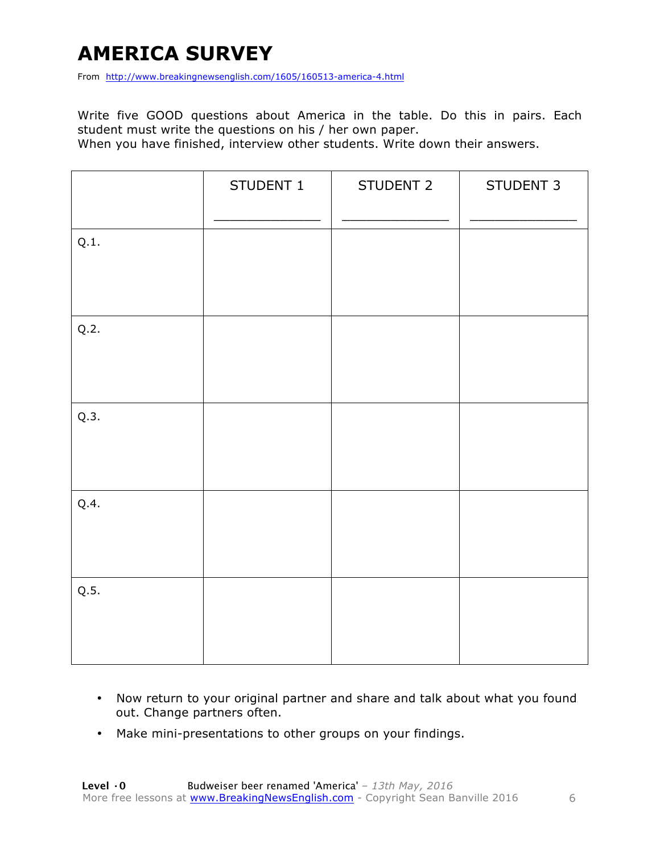### **AMERICA SURVEY**

From http://www.breakingnewsenglish.com/1605/160513-america-4.html

Write five GOOD questions about America in the table. Do this in pairs. Each student must write the questions on his / her own paper.

When you have finished, interview other students. Write down their answers.

|      | STUDENT 1 | STUDENT 2 | STUDENT 3 |
|------|-----------|-----------|-----------|
| Q.1. |           |           |           |
| Q.2. |           |           |           |
| Q.3. |           |           |           |
| Q.4. |           |           |           |
| Q.5. |           |           |           |

- Now return to your original partner and share and talk about what you found out. Change partners often.
- Make mini-presentations to other groups on your findings.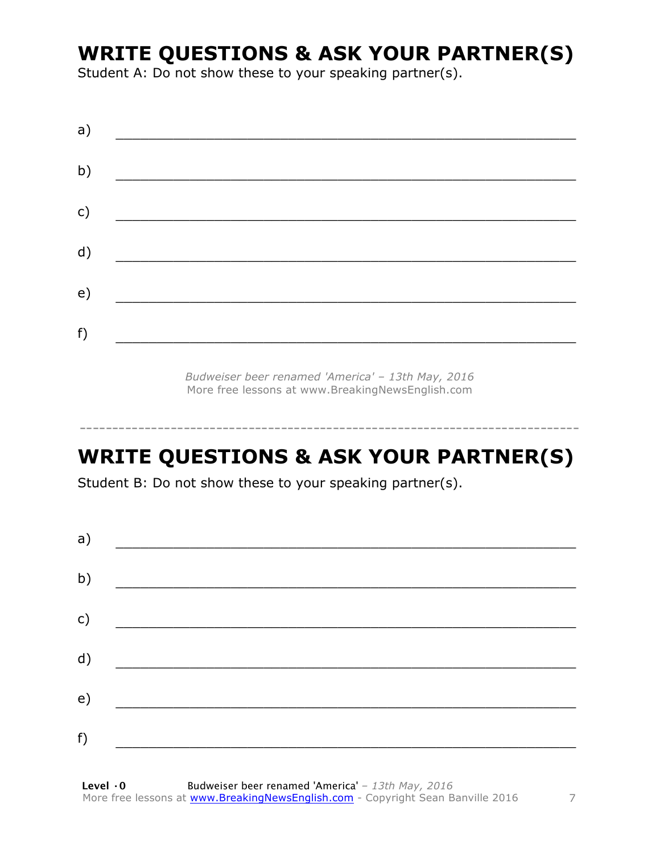### **WRITE QUESTIONS & ASK YOUR PARTNER(S)**

Student A: Do not show these to your speaking partner(s).

| a) |  |  |
|----|--|--|
| b) |  |  |
| c) |  |  |
| d) |  |  |
| e) |  |  |
| f) |  |  |
|    |  |  |

*Budweiser beer renamed 'America' – 13th May, 2016* More free lessons at www.BreakingNewsEnglish.com

### **WRITE QUESTIONS & ASK YOUR PARTNER(S)**

-----------------------------------------------------------------------------

Student B: Do not show these to your speaking partner(s).

| a) |                                          |  |  |
|----|------------------------------------------|--|--|
| b) | <u> 1980 - Jan Barbara Barat, manala</u> |  |  |
| c) |                                          |  |  |
| d) |                                          |  |  |
| e) |                                          |  |  |
| f) |                                          |  |  |
|    |                                          |  |  |